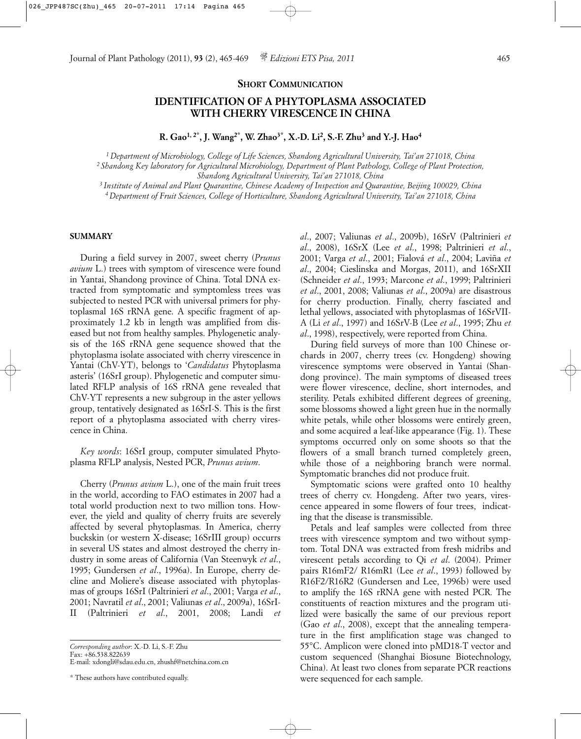### **SHORT COMMUNICATION**

# **IDENTIFICATION OF A PHYTOPLASMA ASSOCIATED WITH CHERRY VIRESCENCE IN CHINA**

**R. Gao1, 2\*, J. Wang2\*, W. Zhao3\*, X.-D. Li2, S.-F. Zhu3 and Y.-J. Hao4**

*1 Department of Microbiology, College of Life Sciences, Shandong Agricultural University, Tai'an 271018, China 2 Shandong Key laboratory for Agricultural Microbiology, Department of Plant Pathology, College of Plant Protection, Shandong Agricultural University, Tai'an 271018, China*

*3 Institute of Animal and Plant Quarantine, Chinese Academy of Inspection and Quarantine, Beijing 100029, China 4 Department of Fruit Sciences, College of Horticulture, Shandong Agricultural University, Tai'an 271018, China*

#### **SUMMARY**

During a field survey in 2007, sweet cherry (*Prunus avium* L.) trees with symptom of virescence were found in Yantai, Shandong province of China. Total DNA extracted from symptomatic and symptomless trees was subjected to nested PCR with universal primers for phytoplasmal 16S rRNA gene. A specific fragment of approximately 1.2 kb in length was amplified from diseased but not from healthy samples. Phylogenetic analysis of the 16S rRNA gene sequence showed that the phytoplasma isolate associated with cherry virescence in Yantai (ChV-YT), belongs to '*Candidatus* Phytoplasma asteris' (16SrI group). Phylogenetic and computer simulated RFLP analysis of 16S rRNA gene revealed that ChV-YT represents a new subgroup in the aster yellows group, tentatively designated as 16SrI-S. This is the first report of a phytoplasma associated with cherry virescence in China.

*Key words*: 16SrI group, computer simulated Phytoplasma RFLP analysis, Nested PCR, *Prunus avium*.

Cherry (*Prunus avium* L.), one of the main fruit trees in the world, according to FAO estimates in 2007 had a total world production next to two million tons. However, the yield and quality of cherry fruits are severely affected by several phytoplasmas. In America, cherry buckskin (or western X-disease; 16SrIII group) occurrs in several US states and almost destroyed the cherry industry in some areas of California (Van Steenwyk *et al*., 1995; Gundersen *et al*., 1996a). In Europe, cherry decline and Moliere's disease associated with phytoplasmas of groups 16SrI (Paltrinieri *et al*., 2001; Varga *et al*., 2001; Navratil *et al*., 2001; Valiunas *et al*., 2009a), 16SrI-II (Paltrinieri *et al*., 2001, 2008; Landi *et* *al*., 2007; Valiunas *et al*., 2009b), 16SrV (Paltrinieri *et al*., 2008), 16SrX (Lee *et al*., 1998; Paltrinieri *et al*., 2001; Varga *et al*., 2001; Fialová *et al*., 2004; Laviña *et al*., 2004; Cieslinska and Morgas, 2011), and 16SrXII (Schneider *et al*., 1993; Marcone *et al*., 1999; Paltrinieri *et al*., 2001, 2008; Valiunas *et al*., 2009a) are disastrous for cherry production. Finally, cherry fasciated and lethal yellows, associated with phytoplasmas of 16SrVII-A (Li *et al*., 1997) and 16SrV-B (Lee *et al*., 1995; Zhu *et al*., 1998), respectively, were reported from China.

During field surveys of more than 100 Chinese orchards in 2007, cherry trees (cv. Hongdeng) showing virescence symptoms were observed in Yantai (Shandong province). The main symptoms of diseased trees were flower virescence, decline, short internodes, and sterility. Petals exhibited different degrees of greening, some blossoms showed a light green hue in the normally white petals, while other blossoms were entirely green, and some acquired a leaf-like appearance (Fig. 1). These symptoms occurred only on some shoots so that the flowers of a small branch turned completely green, while those of a neighboring branch were normal. Symptomatic branches did not produce fruit.

Symptomatic scions were grafted onto 10 healthy trees of cherry cv. Hongdeng. After two years, virescence appeared in some flowers of four trees, indicating that the disease is transmissible.

Petals and leaf samples were collected from three trees with virescence symptom and two without symptom. Total DNA was extracted from fresh midribs and virescent petals according to Qi *et al*. (2004). Primer pairs R16mF2/ R16mR1 (Lee *et al*., 1993) followed by R16F2/R16R2 (Gundersen and Lee, 1996b) were used to amplify the 16S rRNA gene with nested PCR. The constituents of reaction mixtures and the program utilized were basically the same of our previous report (Gao *et al*., 2008), except that the annealing temperature in the first amplification stage was changed to 55°C. Amplicon were cloned into pMD18-T vector and custom sequenced (Shanghai Biosune Biotechnology, China). At least two clones from separate PCR reactions were sequenced for each sample.

*Corresponding author*: X.-D. Li, S.-F. Zhu Fax: +86.538.822639 E-mail: xdongli@sdau.edu.cn, zhushf@netchina.com.cn

<sup>\*</sup> These authors have contributed equally.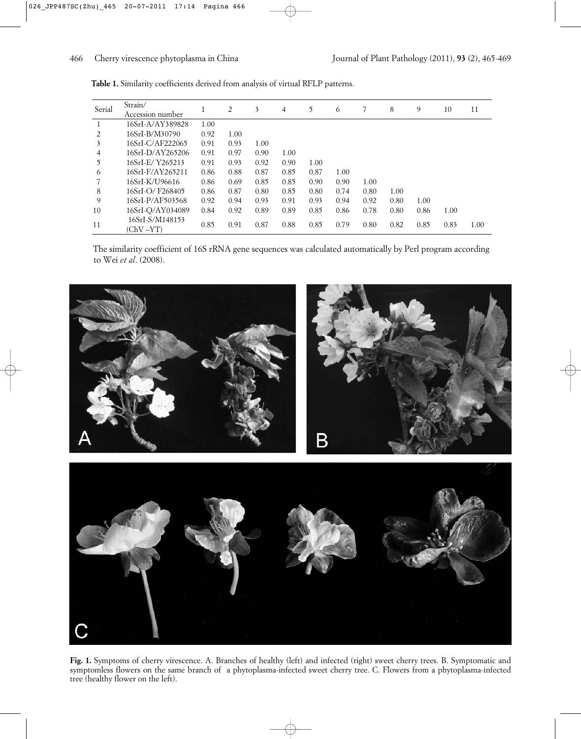| Serial | Strain/<br>Accession number  | 1    | 2    | 3    | 4    | 5    | 6    |      | 8    | 9    | 10   | 11   |
|--------|------------------------------|------|------|------|------|------|------|------|------|------|------|------|
|        | 16SrI-A/AY389828             | 1.00 |      |      |      |      |      |      |      |      |      |      |
| 2      | 16SrI-B/M30790               | 0.92 | 1.00 |      |      |      |      |      |      |      |      |      |
| 3      | 16SrI-C/AF222065             | 0.91 | 0.93 | 1.00 |      |      |      |      |      |      |      |      |
| 4      | 16SrI-D/AY265206             | 0.91 | 0.97 | 0.90 | 1.00 |      |      |      |      |      |      |      |
| 5      | 16SrI-E/Y265213              | 0.91 | 0.93 | 0.92 | 0.90 | 1.00 |      |      |      |      |      |      |
| 6      | 16SrI-F/AY265211             | 0.86 | 0.88 | 0.87 | 0.85 | 0.87 | 1.00 |      |      |      |      |      |
|        | 16SrI-K/U96616               | 0.86 | 0.69 | 0.85 | 0.85 | 0.90 | 0.90 | 1.00 |      |      |      |      |
| 8      | 16SrI-O/F268405              | 0.86 | 0.87 | 0.80 | 0.85 | 0.80 | 0.74 | 0.80 | 1.00 |      |      |      |
| 9      | 16SrI-P/AF503568             | 0.92 | 0.94 | 0.93 | 0.91 | 0.93 | 0.94 | 0.92 | 0.80 | 1.00 |      |      |
| 10     | 16SrI-Q/AY034089             | 0.84 | 0.92 | 0.89 | 0.89 | 0.85 | 0.86 | 0.78 | 0.80 | 0.86 | 1.00 |      |
| 11     | 16SrI-S/M148153<br>(ChV –YT) | 0.85 | 0.91 | 0.87 | 0.88 | 0.85 | 0.79 | 0.80 | 0.82 | 0.85 | 0.83 | 1.00 |

**Table 1.** Similarity coefficients derived from analysis of virtual RFLP patterns.

The similarity coefficient of 16S rRNA gene sequences was calculated automatically by Perl program according to Wei *et al*. (2008).



**Fig. 1.** Symptoms of cherry virescence. A. Branches of healthy (left) and infected (right) sweet cherry trees. B. Symptomatic and symptomless flowers on the same branch of a phytoplasma-infected sweet cherry tree. C. Flowers from a phytoplasma-infected tree (healthy flower on the left).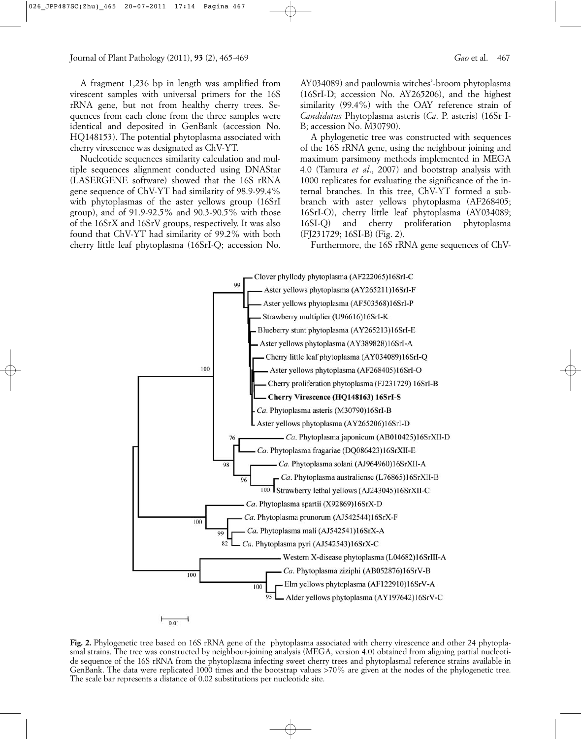A fragment 1,236 bp in length was amplified from virescent samples with universal primers for the 16S rRNA gene, but not from healthy cherry trees. Sequences from each clone from the three samples were identical and deposited in GenBank (accession No. HQ148153). The potential phytoplasma associated with cherry virescence was designated as ChV-YT.

Nucleotide sequences similarity calculation and multiple sequences alignment conducted using DNAStar (LASERGENE software) showed that the 16S rRNA gene sequence of ChV-YT had similarity of 98.9-99.4% with phytoplasmas of the aster yellows group (16SrI group), and of 91.9-92.5% and 90.3-90.5% with those of the 16SrX and 16SrV groups, respectively. It was also found that ChV-YT had similarity of 99.2% with both cherry little leaf phytoplasma (16SrI-Q; accession No. AY034089) and paulownia witches'-broom phytoplasma (16SrI-D; accession No. AY265206), and the highest similarity (99.4%) with the OAY reference strain of *Candidatus* Phytoplasma asteris (*Ca*. P. asteris) (16Sr I-B; accession No. M30790).

A phylogenetic tree was constructed with sequences of the 16S rRNA gene, using the neighbour joining and maximum parsimony methods implemented in MEGA 4.0 (Tamura *et al*., 2007) and bootstrap analysis with 1000 replicates for evaluating the significance of the internal branches. In this tree, ChV-YT formed a subbranch with aster yellows phytoplasma (AF268405; 16SrI-O), cherry little leaf phytoplasma (AY034089; 16SI-Q) and cherry proliferation phytoplasma (FJ231729; 16SI-B) (Fig. 2).

Furthermore, the 16S rRNA gene sequences of ChV-



**Fig. 2.** Phylogenetic tree based on 16S rRNA gene of the phytoplasma associated with cherry virescence and other 24 phytoplasmal strains. The tree was constructed by neighbour-joining analysis (MEGA, version 4.0) obtained from aligning partial nucleotide sequence of the 16S rRNA from the phytoplasma infecting sweet cherry trees and phytoplasmal reference strains available in GenBank. The data were replicated 1000 times and the bootstrap values >70% are given at the nodes of the phylogenetic tree. The scale bar represents a distance of 0.02 substitutions per nucleotide site.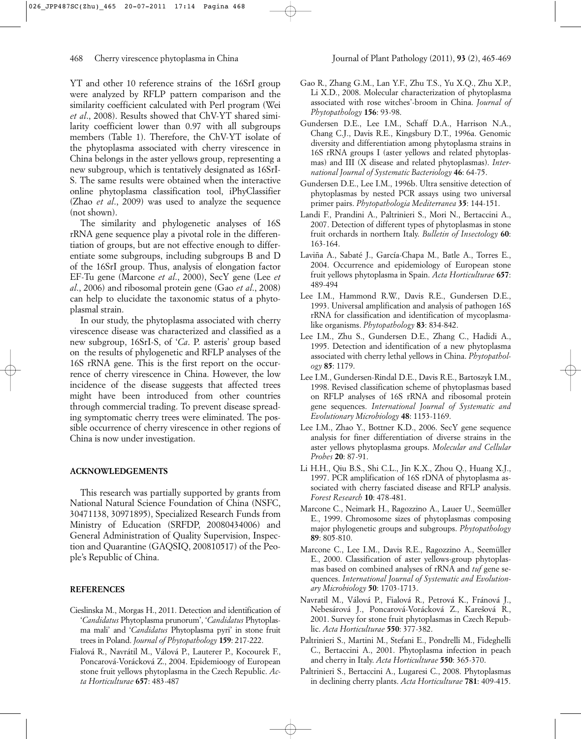YT and other 10 reference strains of the 16SrI group were analyzed by RFLP pattern comparison and the similarity coefficient calculated with Perl program (Wei *et al*., 2008). Results showed that ChV-YT shared similarity coefficient lower than 0.97 with all subgroups members (Table 1). Therefore, the ChV-YT isolate of the phytoplasma associated with cherry virescence in China belongs in the aster yellows group, representing a new subgroup, which is tentatively designated as 16SrI-S. The same results were obtained when the interactive online phytoplasma classification tool, iPhyClassifier (Zhao *et al*., 2009) was used to analyze the sequence (not shown).

The similarity and phylogenetic analyses of 16S rRNA gene sequence play a pivotal role in the differentiation of groups, but are not effective enough to differentiate some subgroups, including subgroups B and D of the 16SrI group. Thus, analysis of elongation factor EF-Tu gene (Marcone *et al*., 2000), SecY gene (Lee *et al*., 2006) and ribosomal protein gene (Gao *et al*., 2008) can help to elucidate the taxonomic status of a phytoplasmal strain.

In our study, the phytoplasma associated with cherry virescence disease was characterized and classified as a new subgroup, 16SrI-S, of '*Ca*. P. asteris' group based on the results of phylogenetic and RFLP analyses of the 16S rRNA gene. This is the first report on the occurrence of cherry virescence in China. However, the low incidence of the disease suggests that affected trees might have been introduced from other countries through commercial trading. To prevent disease spreading symptomatic cherry trees were eliminated. The possible occurrence of cherry virescence in other regions of China is now under investigation.

## **ACKNOWLEDGEMENTS**

This research was partially supported by grants from National Natural Science Foundation of China (NSFC, 30471138, 30971895), Specialized Research Funds from Ministry of Education (SRFDP, 20080434006) and General Administration of Quality Supervision, Inspection and Quarantine (GAQSIQ, 200810517) of the People's Republic of China.

## **REFERENCES**

- Cieslinska M., Morgas H., 2011. Detection and identification of '*Candidatus* Phytoplasma prunorum', '*Candidatus* Phytoplasma mali' and '*Candidatus* Phytoplasma pyri' in stone fruit trees in Poland. *Journal of Phytopathology* **159**: 217-222.
- Fialová R., Navrátil M., Válová P., Lauterer P., Kocourek F., Poncarová-Vorácková Z., 2004. Epidemioogy of European stone fruit yellows phytoplasma in the Czech Republic. *Acta Horticulturae* **657**: 483-487
- Gao R., Zhang G.M., Lan Y.F., Zhu T.S., Yu X.Q., Zhu X.P., Li X.D., 2008. Molecular characterization of phytoplasma associated with rose witches'-broom in China. *Journal of Phytopathology* **156**: 93-98.
- Gundersen D.E., Lee I.M., Schaff D.A., Harrison N.A., Chang C.J., Davis R.E., Kingsbury D.T., 1996a. Genomic diversity and differentiation among phytoplasma strains in 16S rRNA groups I (aster yellows and related phytoplasmas) and III (X disease and related phytoplasmas). *International Journal of Systematic Bacteriology* **46**: 64-75.
- Gundersen D.E., Lee I.M., 1996b. Ultra sensitive detection of phytoplasmas by nested PCR assays using two universal primer pairs. *Phytopathologia Mediterranea* **35**: 144-151.
- Landi F., Prandini A., Paltrinieri S., Mori N., Bertaccini A., 2007. Detection of different types of phytoplasmas in stone fruit orchards in northern Italy. *Bulletin of Insectology* **60**: 163-164.
- Laviña A., Sabaté J., García-Chapa M., Batle A., Torres E., 2004. Occurrence and epidemiology of European stone fruit yellows phytoplasma in Spain. *Acta Horticulturae* **657**: 489-494
- Lee I.M., Hammond R.W., Davis R.E., Gundersen D.E., 1993. Universal amplification and analysis of pathogen 16S rRNA for classification and identification of mycoplasmalike organisms. *Phytopathology* **83**: 834-842.
- Lee I.M., Zhu S., Gundersen D.E., Zhang C., Hadidi A., 1995. Detection and identification of a new phytoplasma associated with cherry lethal yellows in China. *Phytopathology* **85**: 1179.
- Lee I.M., Gundersen-Rindal D.E., Davis R.E., Bartoszyk I.M., 1998. Revised classification scheme of phytoplasmas based on RFLP analyses of 16S rRNA and ribosomal protein gene sequences. *International Journal of Systematic and Evolutionary Microbiology* **48**: 1153-1169.
- Lee I.M., Zhao Y., Bottner K.D., 2006. SecY gene sequence analysis for finer differentiation of diverse strains in the aster yellows phytoplasma groups. *Molecular and Cellular Probes* **20**: 87-91.
- Li H.H., Qiu B.S., Shi C.L., Jin K.X., Zhou Q., Huang X.J., 1997. PCR amplification of 16S rDNA of phytoplasma associated with cherry fasciated disease and RFLP analysis. *Forest Research* **10**: 478-481.
- Marcone C., Neimark H., Ragozzino A., Lauer U., Seemüller E., 1999. Chromosome sizes of phytoplasmas composing major phylogenetic groups and subgroups. *Phytopathology* **89**: 805-810.
- Marcone C., Lee I.M., Davis R.E., Ragozzino A., Seemüller E., 2000. Classification of aster yellows-group phytoplasmas based on combined analyses of rRNA and *tuf* gene sequences. *International Journal of Systematic and Evolutionary Microbiology* **50**: 1703-1713.
- Navratil M., Válová P., Fialová R., Petrová K., Fránová J., Nebesárová J., Poncarová-Vorácková Z., Karešová R., 2001. Survey for stone fruit phytoplasmas in Czech Republic. *Acta Horticulturae* **550**: 377-382.
- Paltrinieri S., Martini M., Stefani E., Pondrelli M., Fideghelli C., Bertaccini A., 2001. Phytoplasma infection in peach and cherry in Italy. *Acta Horticulturae* **550**: 365-370.
- Paltrinieri S., Bertaccini A., Lugaresi C., 2008. Phytoplasmas in declining cherry plants. *Acta Horticulturae* **781**: 409-415.